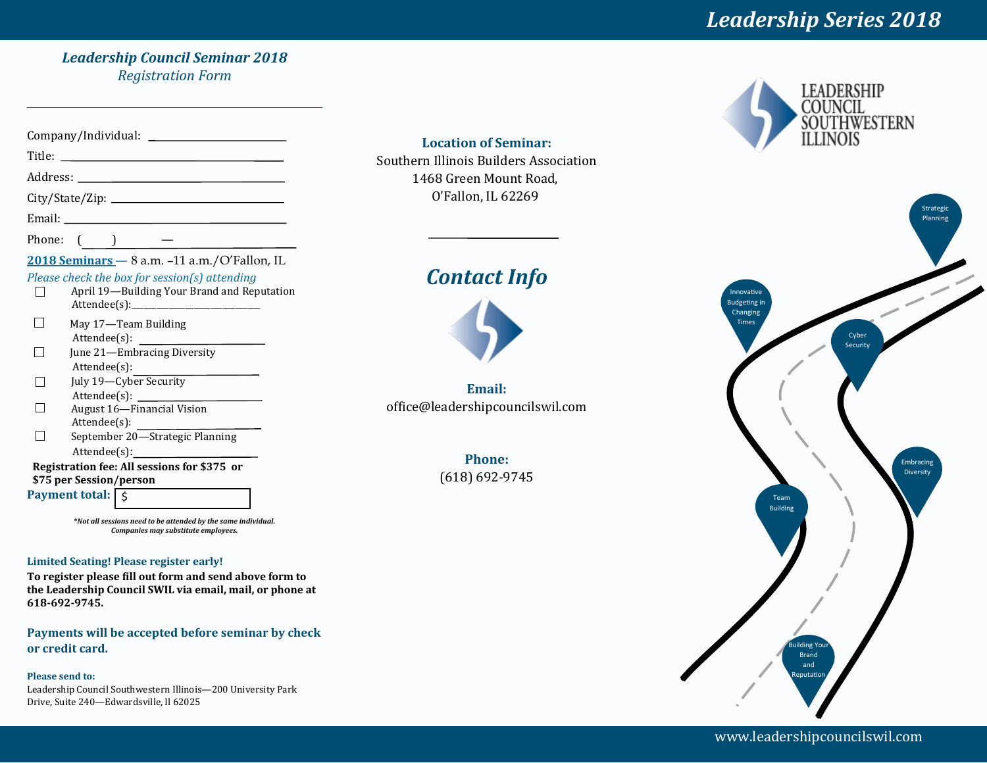# *Leadership Series 2018*

#### *Leadership Council Seminar 2018 Registration Form*

| Title:<br><u> 1989 - Andrea Station Books, amerikansk politiker (</u><br>Address:<br>$\overline{\phantom{a}}$<br>Phone:<br>$2018$ Seminars $-$ 8 a.m. $-11$ a.m./O'Fallon, IL<br>Please check the box for session(s) attending<br>April 19-Building Your Brand and Reputation<br>May 17—Team Building<br>Attendee(s):<br>June 21-Embracing Diversity<br>Attendee(s):<br>July 19—Cyber Security<br>$\text{Attende}(s):$<br>August 16-Financial Vision<br>Attendee(s):<br>September 20-Strategic Planning<br>Registration fee: All sessions for \$375 or<br>\$75 per Session/person<br>Payment total:   \$ |  |
|----------------------------------------------------------------------------------------------------------------------------------------------------------------------------------------------------------------------------------------------------------------------------------------------------------------------------------------------------------------------------------------------------------------------------------------------------------------------------------------------------------------------------------------------------------------------------------------------------------|--|
|                                                                                                                                                                                                                                                                                                                                                                                                                                                                                                                                                                                                          |  |
|                                                                                                                                                                                                                                                                                                                                                                                                                                                                                                                                                                                                          |  |
|                                                                                                                                                                                                                                                                                                                                                                                                                                                                                                                                                                                                          |  |
|                                                                                                                                                                                                                                                                                                                                                                                                                                                                                                                                                                                                          |  |
|                                                                                                                                                                                                                                                                                                                                                                                                                                                                                                                                                                                                          |  |
|                                                                                                                                                                                                                                                                                                                                                                                                                                                                                                                                                                                                          |  |
|                                                                                                                                                                                                                                                                                                                                                                                                                                                                                                                                                                                                          |  |
|                                                                                                                                                                                                                                                                                                                                                                                                                                                                                                                                                                                                          |  |
|                                                                                                                                                                                                                                                                                                                                                                                                                                                                                                                                                                                                          |  |
|                                                                                                                                                                                                                                                                                                                                                                                                                                                                                                                                                                                                          |  |
|                                                                                                                                                                                                                                                                                                                                                                                                                                                                                                                                                                                                          |  |
|                                                                                                                                                                                                                                                                                                                                                                                                                                                                                                                                                                                                          |  |
|                                                                                                                                                                                                                                                                                                                                                                                                                                                                                                                                                                                                          |  |
|                                                                                                                                                                                                                                                                                                                                                                                                                                                                                                                                                                                                          |  |
|                                                                                                                                                                                                                                                                                                                                                                                                                                                                                                                                                                                                          |  |
|                                                                                                                                                                                                                                                                                                                                                                                                                                                                                                                                                                                                          |  |
|                                                                                                                                                                                                                                                                                                                                                                                                                                                                                                                                                                                                          |  |
|                                                                                                                                                                                                                                                                                                                                                                                                                                                                                                                                                                                                          |  |
|                                                                                                                                                                                                                                                                                                                                                                                                                                                                                                                                                                                                          |  |
|                                                                                                                                                                                                                                                                                                                                                                                                                                                                                                                                                                                                          |  |
|                                                                                                                                                                                                                                                                                                                                                                                                                                                                                                                                                                                                          |  |
|                                                                                                                                                                                                                                                                                                                                                                                                                                                                                                                                                                                                          |  |

**\****Not all sessions need to be attended by the same individual. Companies may substitute employees.*

#### **Limited Seating! Please register early!**

**To register please fill out form and send above form to the Leadership Council SWIL via email, mail, or phone at 618-692-9745.** 

**Payments will be accepted before seminar by check or credit card.** 

#### **Please send to:**

Leadership Council Southwestern Illinois—200 University Park Drive, Suite 240—Edwardsville, Il 62025

**Location of Seminar:**  Southern Illinois Builders Association 1468 Green Mount Road, O'Fallon, IL 62269

# *Contact Info*



**Email:**  office@leadershipcouncilswil.com

> **Phone:** (618) 692-9745